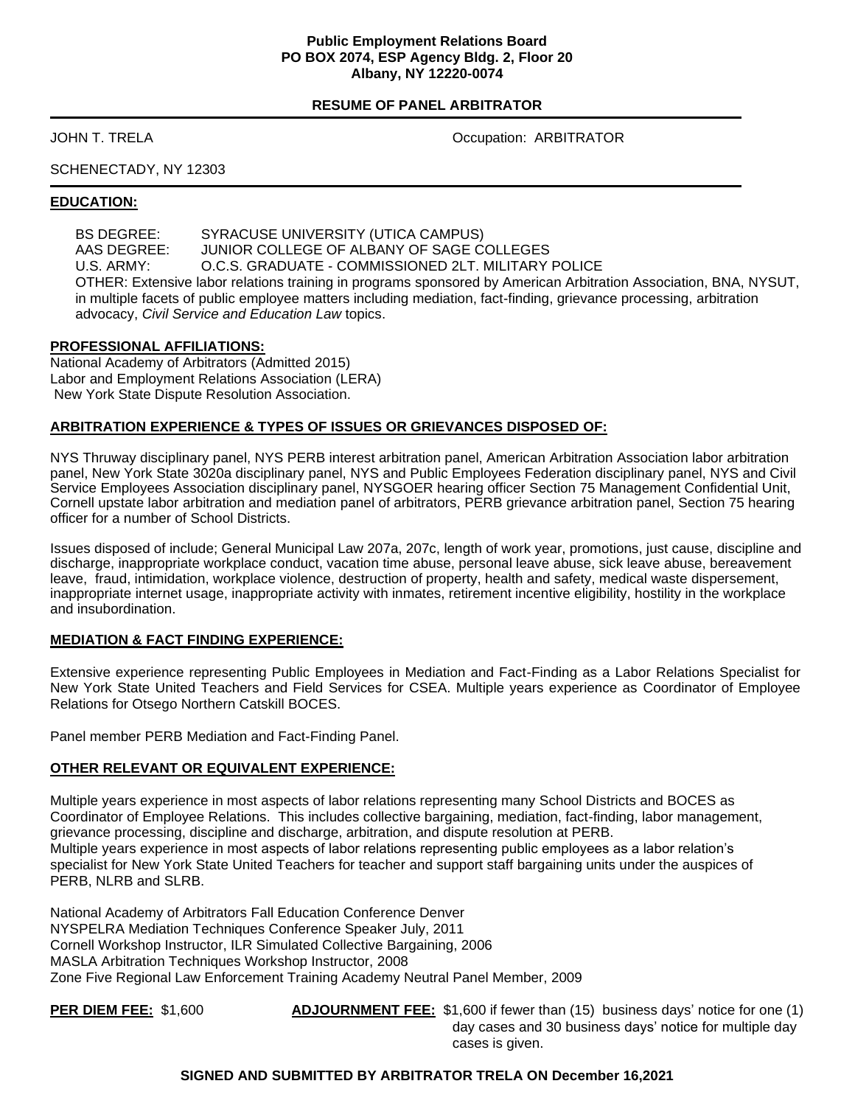#### **Public Employment Relations Board PO BOX 2074, ESP Agency Bldg. 2, Floor 20 Albany, NY 12220-0074**

## **RESUME OF PANEL ARBITRATOR**

JOHN T. TRELA Occupation: ARBITRATOR

# SCHENECTADY, NY 12303

#### **EDUCATION:**

BS DEGREE: SYRACUSE UNIVERSITY (UTICA CAMPUS) AAS DEGREE: JUNIOR COLLEGE OF ALBANY OF SAGE COLLEGES U.S. ARMY: O.C.S. GRADUATE - COMMISSIONED 2LT. MILITARY POLICE OTHER: Extensive labor relations training in programs sponsored by American Arbitration Association, BNA, NYSUT, in multiple facets of public employee matters including mediation, fact-finding, grievance processing, arbitration advocacy, *Civil Service and Education Law* topics.

#### **PROFESSIONAL AFFILIATIONS:**

National Academy of Arbitrators (Admitted 2015) Labor and Employment Relations Association (LERA) New York State Dispute Resolution Association.

#### **ARBITRATION EXPERIENCE & TYPES OF ISSUES OR GRIEVANCES DISPOSED OF:**

NYS Thruway disciplinary panel, NYS PERB interest arbitration panel, American Arbitration Association labor arbitration panel, New York State 3020a disciplinary panel, NYS and Public Employees Federation disciplinary panel, NYS and Civil Service Employees Association disciplinary panel, NYSGOER hearing officer Section 75 Management Confidential Unit, Cornell upstate labor arbitration and mediation panel of arbitrators, PERB grievance arbitration panel, Section 75 hearing officer for a number of School Districts.

Issues disposed of include; General Municipal Law 207a, 207c, length of work year, promotions, just cause, discipline and discharge, inappropriate workplace conduct, vacation time abuse, personal leave abuse, sick leave abuse, bereavement leave, fraud, intimidation, workplace violence, destruction of property, health and safety, medical waste dispersement, inappropriate internet usage, inappropriate activity with inmates, retirement incentive eligibility, hostility in the workplace and insubordination.

#### **MEDIATION & FACT FINDING EXPERIENCE:**

Extensive experience representing Public Employees in Mediation and Fact-Finding as a Labor Relations Specialist for New York State United Teachers and Field Services for CSEA. Multiple years experience as Coordinator of Employee Relations for Otsego Northern Catskill BOCES.

Panel member PERB Mediation and Fact-Finding Panel.

#### **OTHER RELEVANT OR EQUIVALENT EXPERIENCE:**

Multiple years experience in most aspects of labor relations representing many School Districts and BOCES as Coordinator of Employee Relations. This includes collective bargaining, mediation, fact-finding, labor management, grievance processing, discipline and discharge, arbitration, and dispute resolution at PERB. Multiple years experience in most aspects of labor relations representing public employees as a labor relation's specialist for New York State United Teachers for teacher and support staff bargaining units under the auspices of PERB, NLRB and SLRB.

National Academy of Arbitrators Fall Education Conference Denver NYSPELRA Mediation Techniques Conference Speaker July, 2011 Cornell Workshop Instructor, ILR Simulated Collective Bargaining, 2006 MASLA Arbitration Techniques Workshop Instructor, 2008 Zone Five Regional Law Enforcement Training Academy Neutral Panel Member, 2009

**PER DIEM FEE:** \$1,600 **ADJOURNMENT FEE:** \$1,600 if fewer than (15) business days' notice for one (1) day cases and 30 business days' notice for multiple day cases is given.

## **SIGNED AND SUBMITTED BY ARBITRATOR TRELA ON December 16,2021**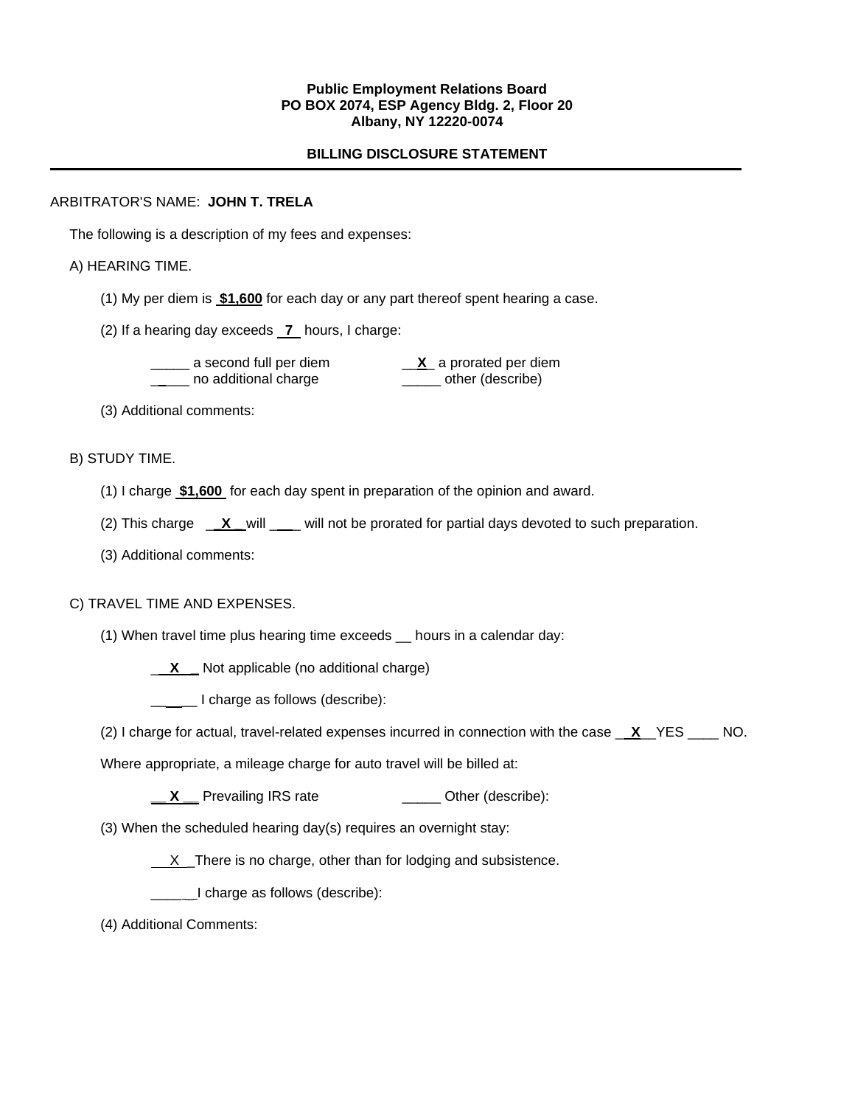#### **Public Employment Relations Board PO BOX 2074, ESP Agency Bldg. 2, Floor 20 Albany, NY 12220-0074**

# **BILLING DISCLOSURE STATEMENT**

### ARBITRATOR'S NAME: **JOHN T. TRELA**

The following is a description of my fees and expenses:

## A) HEARING TIME.

- (1) My per diem is **\$1,600** for each day or any part thereof spent hearing a case.
- (2) If a hearing day exceeds **7** hours, I charge:

 \_\_\_\_\_ a second full per diem \_\_**X**\_ a prorated per diem \_\_\_\_ no additional charge \_\_\_\_\_ other (describe)

(3) Additional comments:

## B) STUDY TIME.

- (1) I charge **\$1,600** for each day spent in preparation of the opinion and award.
- (2) This charge \_**\_X \_** will \_\_ will not be prorated for partial days devoted to such preparation.
- (3) Additional comments:

# C) TRAVEL TIME AND EXPENSES.

(1) When travel time plus hearing time exceeds \_\_ hours in a calendar day:

\_ **X \_** Not applicable (no additional charge)

\_\_\_\_ I charge as follows (describe):

(2) I charge for actual, travel-related expenses incurred in connection with the case \_ **X**\_\_YES \_\_\_\_ NO.

Where appropriate, a mileage charge for auto travel will be billed at:

- **X** Prevailing IRS rate **\_\_\_\_** Other (describe):
- (3) When the scheduled hearing day(s) requires an overnight stay:
	- $X$  There is no charge, other than for lodging and subsistence.

I charge as follows (describe):

(4) Additional Comments: